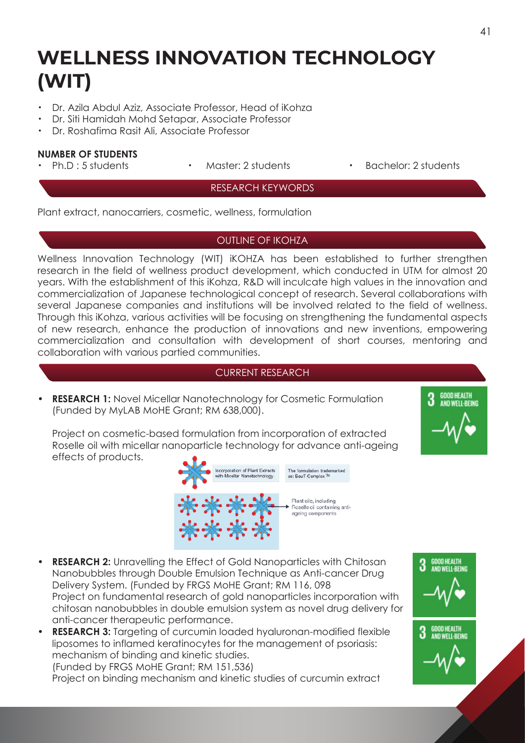# **WELLNESS INNOVATION TECHNOLOGY (WIT)**

- ・ Dr. Azila Abdul Aziz, Associate Professor, Head of iKohza
- ・ Dr. Siti Hamidah Mohd Setapar, Associate Professor
- ・ Dr. Roshafima Rasit Ali, Associate Professor

#### **NUMBER OF STUDENTS**

- 
- 
- Ph.D : 5 students Master: 2 students Bachelor: 2 students

### RESEARCH KEYWORDS

Plant extract, nanocarriers, cosmetic, wellness, formulation

#### OUTLINE OF IKOHZA

Wellness Innovation Technology (WIT) iKOHZA has been established to further strengthen research in the field of wellness product development, which conducted in UTM for almost 20 years. With the establishment of this iKohza, R&D will inculcate high values in the innovation and commercialization of Japanese technological concept of research. Several collaborations with several Japanese companies and institutions will be involved related to the field of wellness. Through this iKohza, various activities will be focusing on strengthening the fundamental aspects of new research, enhance the production of innovations and new inventions, empowering commercialization and consultation with development of short courses, mentoring and collaboration with various partied communities.

#### CURRENT RESEARCH

**• RESEARCH 1:** Novel Micellar Nanotechnology for Cosmetic Formulation (Funded by MyLAB MoHE Grant; RM 638,000).

**GOOD HEALTH<br>AND WELL-BEING** 

 Project on cosmetic-based formulation from incorporation of extracted Roselle oil with micellar nanoparticle technology for advance anti-ageing effects of products.



- **RESEARCH 2:** Unravelling the Effect of Gold Nanoparticles with Chitosan Nanobubbles through Double Emulsion Technique as Anti-cancer Drug Delivery System. (Funded by FRGS MoHE Grant; RM 116, 098 Project on fundamental research of gold nanoparticles incorporation with chitosan nanobubbles in double emulsion system as novel drug delivery for anti-cancer therapeutic performance.
- **RESEARCH 3:** Targeting of curcumin loaded hyaluronan-modified flexible liposomes to inflamed keratinocytes for the management of psoriasis: mechanism of binding and kinetic studies. (Funded by FRGS MoHE Grant; RM 151,536)

Project on binding mechanism and kinetic studies of curcumin extract